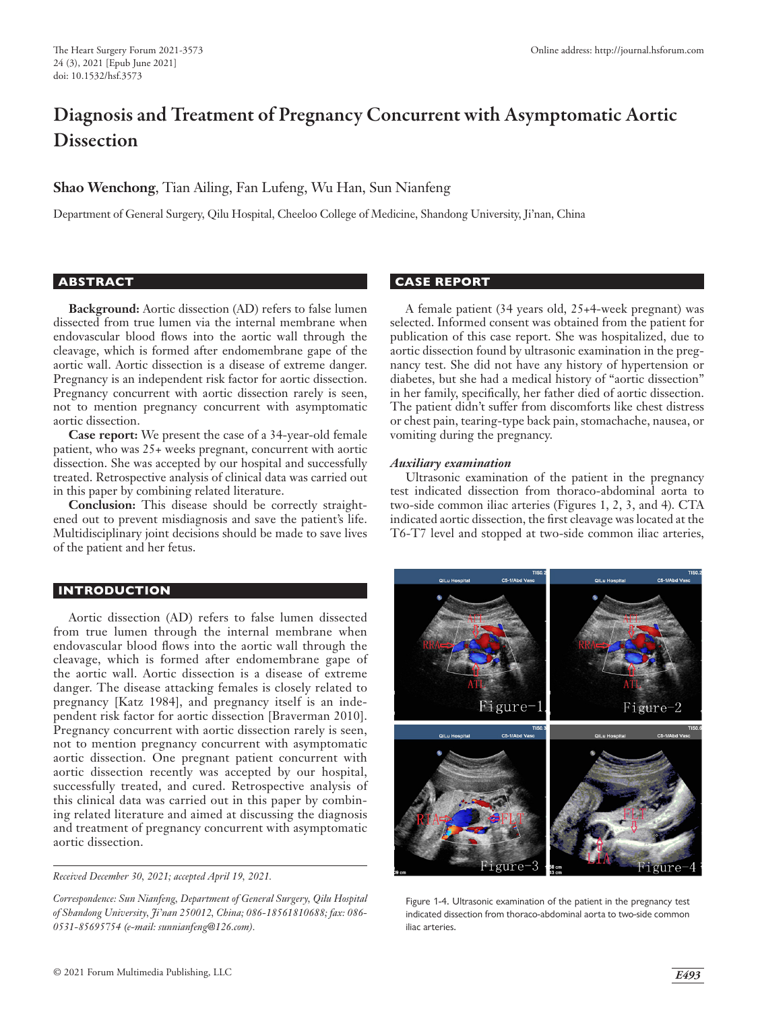# Diagnosis and Treatment of Pregnancy Concurrent with Asymptomatic Aortic **Dissection**

# **Shao Wenchong**, Tian Ailing, Fan Lufeng, Wu Han, Sun Nianfeng

Department of General Surgery, Qilu Hospital, Cheeloo College of Medicine, Shandong University, Ji'nan, China

#### **ABSTRACT**

**Background:** Aortic dissection (AD) refers to false lumen dissected from true lumen via the internal membrane when endovascular blood flows into the aortic wall through the cleavage, which is formed after endomembrane gape of the aortic wall. Aortic dissection is a disease of extreme danger. Pregnancy is an independent risk factor for aortic dissection. Pregnancy concurrent with aortic dissection rarely is seen, not to mention pregnancy concurrent with asymptomatic aortic dissection.

**Case report:** We present the case of a 34-year-old female patient, who was 25+ weeks pregnant, concurrent with aortic dissection. She was accepted by our hospital and successfully treated. Retrospective analysis of clinical data was carried out in this paper by combining related literature.

**Conclusion:** This disease should be correctly straightened out to prevent misdiagnosis and save the patient's life. Multidisciplinary joint decisions should be made to save lives of the patient and her fetus.

## **INTRODUCTION**

Aortic dissection (AD) refers to false lumen dissected from true lumen through the internal membrane when endovascular blood flows into the aortic wall through the cleavage, which is formed after endomembrane gape of the aortic wall. Aortic dissection is a disease of extreme danger. The disease attacking females is closely related to pregnancy [Katz 1984], and pregnancy itself is an independent risk factor for aortic dissection [Braverman 2010]. Pregnancy concurrent with aortic dissection rarely is seen, not to mention pregnancy concurrent with asymptomatic aortic dissection. One pregnant patient concurrent with aortic dissection recently was accepted by our hospital, successfully treated, and cured. Retrospective analysis of this clinical data was carried out in this paper by combining related literature and aimed at discussing the diagnosis and treatment of pregnancy concurrent with asymptomatic aortic dissection.

*Received December 30, 2021; accepted April 19, 2021.*

*Correspondence: Sun Nianfeng, Department of General Surgery, Qilu Hospital of Shandong University, Ji'nan 250012, China; 086-18561810688; fax: 086- 0531-85695754 (e-mail: sunnianfeng@126.com).*

## **CASE REPORT**

A female patient (34 years old, 25+4-week pregnant) was selected. Informed consent was obtained from the patient for publication of this case report. She was hospitalized, due to aortic dissection found by ultrasonic examination in the pregnancy test. She did not have any history of hypertension or diabetes, but she had a medical history of "aortic dissection" in her family, specifically, her father died of aortic dissection. The patient didn't suffer from discomforts like chest distress or chest pain, tearing-type back pain, stomachache, nausea, or vomiting during the pregnancy.

#### *Auxiliary examination*

Ultrasonic examination of the patient in the pregnancy test indicated dissection from thoraco-abdominal aorta to two-side common iliac arteries (Figures 1, 2, 3, and 4). CTA indicated aortic dissection, the first cleavage was located at the T6-T7 level and stopped at two-side common iliac arteries,



Figure 1-4. Ultrasonic examination of the patient in the pregnancy test indicated dissection from thoraco-abdominal aorta to two-side common iliac arteries.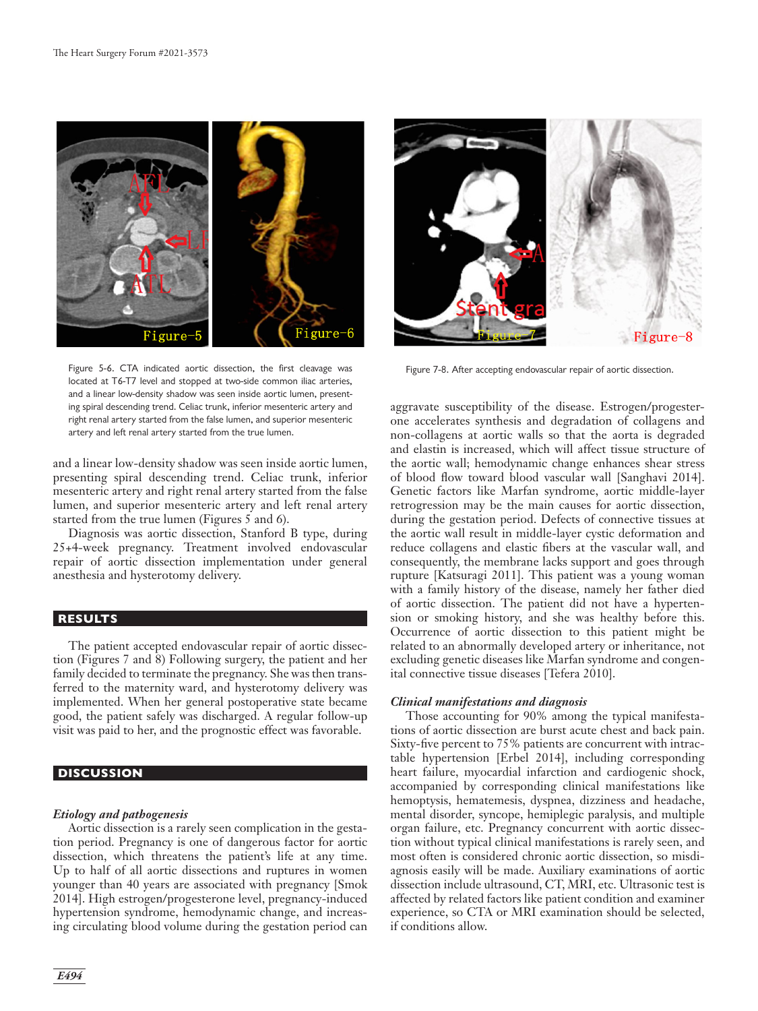

Figure 5-6. CTA indicated aortic dissection, the first cleavage was Figure 7-8. After accepting endovascular repair of aortic dissection. located at T6-T7 level and stopped at two-side common iliac arteries, and a linear low-density shadow was seen inside aortic lumen, presenting spiral descending trend. Celiac trunk, inferior mesenteric artery and right renal artery started from the false lumen, and superior mesenteric artery and left renal artery started from the true lumen.

and a linear low-density shadow was seen inside aortic lumen, presenting spiral descending trend. Celiac trunk, inferior mesenteric artery and right renal artery started from the false lumen, and superior mesenteric artery and left renal artery started from the true lumen (Figures 5 and 6).

Diagnosis was aortic dissection, Stanford B type, during 25+4-week pregnancy. Treatment involved endovascular repair of aortic dissection implementation under general anesthesia and hysterotomy delivery.

## **RESULTS**

The patient accepted endovascular repair of aortic dissection (Figures 7 and 8) Following surgery, the patient and her family decided to terminate the pregnancy. She was then transferred to the maternity ward, and hysterotomy delivery was implemented. When her general postoperative state became good, the patient safely was discharged. A regular follow-up visit was paid to her, and the prognostic effect was favorable.

# **DISCUSSION**

#### *Etiology and pathogenesis*

Aortic dissection is a rarely seen complication in the gestation period. Pregnancy is one of dangerous factor for aortic dissection, which threatens the patient's life at any time. Up to half of all aortic dissections and ruptures in women younger than 40 years are associated with pregnancy [Smok 2014]. High estrogen/progesterone level, pregnancy-induced hypertension syndrome, hemodynamic change, and increasing circulating blood volume during the gestation period can



aggravate susceptibility of the disease. Estrogen/progesterone accelerates synthesis and degradation of collagens and non-collagens at aortic walls so that the aorta is degraded and elastin is increased, which will affect tissue structure of the aortic wall; hemodynamic change enhances shear stress of blood flow toward blood vascular wall [Sanghavi 2014]. Genetic factors like Marfan syndrome, aortic middle-layer retrogression may be the main causes for aortic dissection, during the gestation period. Defects of connective tissues at the aortic wall result in middle-layer cystic deformation and reduce collagens and elastic fibers at the vascular wall, and consequently, the membrane lacks support and goes through rupture [Katsuragi 2011]. This patient was a young woman with a family history of the disease, namely her father died of aortic dissection. The patient did not have a hypertension or smoking history, and she was healthy before this. Occurrence of aortic dissection to this patient might be related to an abnormally developed artery or inheritance, not excluding genetic diseases like Marfan syndrome and congenital connective tissue diseases [Tefera 2010].

#### *Clinical manifestations and diagnosis*

Those accounting for 90% among the typical manifestations of aortic dissection are burst acute chest and back pain. Sixty-five percent to 75% patients are concurrent with intractable hypertension [Erbel 2014], including corresponding heart failure, myocardial infarction and cardiogenic shock, accompanied by corresponding clinical manifestations like hemoptysis, hematemesis, dyspnea, dizziness and headache, mental disorder, syncope, hemiplegic paralysis, and multiple organ failure, etc. Pregnancy concurrent with aortic dissection without typical clinical manifestations is rarely seen, and most often is considered chronic aortic dissection, so misdiagnosis easily will be made. Auxiliary examinations of aortic dissection include ultrasound, CT, MRI, etc. Ultrasonic test is affected by related factors like patient condition and examiner experience, so CTA or MRI examination should be selected, if conditions allow.